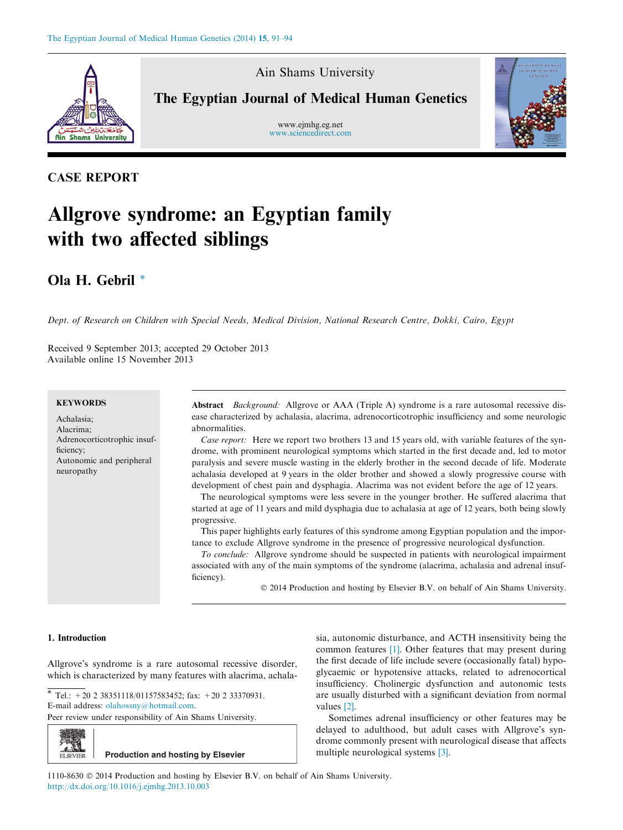

Ain Shams University

The Egyptian Journal of Medical Human Genetics

www.ejmhg.eg.net [www.sciencedirect.com](http://www.sciencedirect.com/science/journal/11108630)



# CASE REPORT

# Allgrove syndrome: an Egyptian family with two affected siblings

# Ola H. Gebril \*

Dept. of Research on Children with Special Needs, Medical Division, National Research Centre, Dokki, Cairo, Egypt

Received 9 September 2013; accepted 29 October 2013 Available online 15 November 2013

## **KEYWORDS**

Achalasia; Alacrima; Adrenocorticotrophic insufficiency; Autonomic and peripheral neuropathy

Abstract Background: Allgrove or AAA (Triple A) syndrome is a rare autosomal recessive disease characterized by achalasia, alacrima, adrenocorticotrophic insufficiency and some neurologic abnormalities.

Case report: Here we report two brothers 13 and 15 years old, with variable features of the syndrome, with prominent neurological symptoms which started in the first decade and, led to motor paralysis and severe muscle wasting in the elderly brother in the second decade of life. Moderate achalasia developed at 9 years in the older brother and showed a slowly progressive course with development of chest pain and dysphagia. Alacrima was not evident before the age of 12 years.

The neurological symptoms were less severe in the younger brother. He suffered alacrima that started at age of 11 years and mild dysphagia due to achalasia at age of 12 years, both being slowly progressive.

This paper highlights early features of this syndrome among Egyptian population and the importance to exclude Allgrove syndrome in the presence of progressive neurological dysfunction.

To conclude: Allgrove syndrome should be suspected in patients with neurological impairment associated with any of the main symptoms of the syndrome (alacrima, achalasia and adrenal insufficiency).

© 2014 Production and hosting by Elsevier B.V. on behalf of Ain Shams University.

# 1. Introduction

Allgrove's syndrome is a rare autosomal recessive disorder, which is characterized by many features with alacrima, achala-

\* Tel.:  $+20$  2 38351118/01157583452; fax:  $+20$  2 33370931. E-mail address: [olahossny@hotmail.com](mailto:olahossny@hotmail.com).

Peer review under responsibility of Ain Shams University.



sia, autonomic disturbance, and ACTH insensitivity being the common features [\[1\]](#page-2-0). Other features that may present during the first decade of life include severe (occasionally fatal) hypoglycaemic or hypotensive attacks, related to adrenocortical insufficiency. Cholinergic dysfunction and autonomic tests are usually disturbed with a significant deviation from normal values [\[2\]](#page-2-0).

Sometimes adrenal insufficiency or other features may be delayed to adulthood, but adult cases with Allgrove's syndrome commonly present with neurological disease that affects multiple neurological systems [\[3\].](#page-3-0)

1110-8630  $\odot$  2014 Production and hosting by Elsevier B.V. on behalf of Ain Shams University. <http://dx.doi.org/10.1016/j.ejmhg.2013.10.003>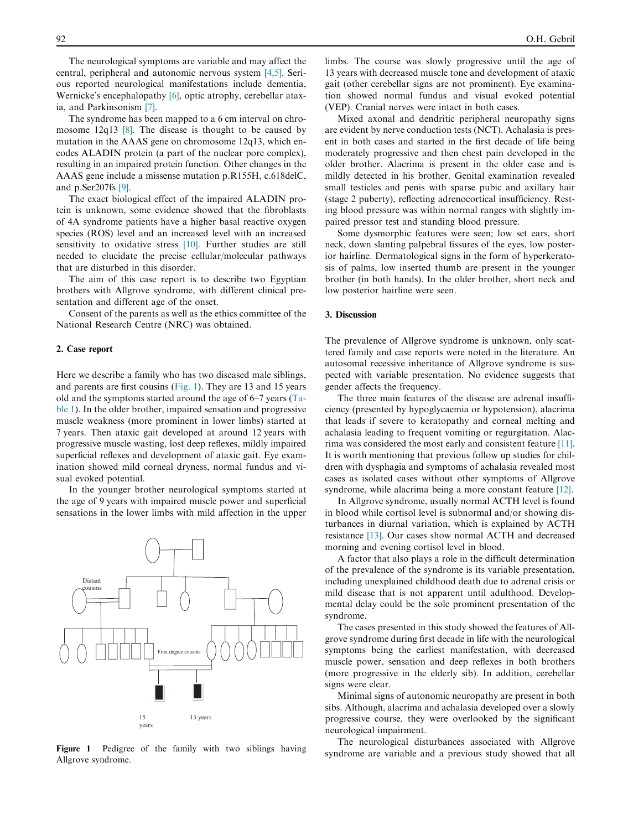The neurological symptoms are variable and may affect the central, peripheral and autonomic nervous system [\[4,5\]](#page-3-0). Serious reported neurological manifestations include dementia, Wernicke's encephalopathy [\[6\]](#page-3-0), optic atrophy, cerebellar ataxia, and Parkinsonism [\[7\]](#page-3-0).

The syndrome has been mapped to a 6 cm interval on chromosome  $12q13$  [\[8\].](#page-3-0) The disease is thought to be caused by mutation in the AAAS gene on chromosome 12q13, which encodes ALADIN protein (a part of the nuclear pore complex), resulting in an impaired protein function. Other changes in the AAAS gene include a missense mutation p.R155H, c.618delC, and p.Ser207fs [\[9\]](#page-3-0).

The exact biological effect of the impaired ALADIN protein is unknown, some evidence showed that the fibroblasts of 4A syndrome patients have a higher basal reactive oxygen species (ROS) level and an increased level with an increased sensitivity to oxidative stress [\[10\]](#page-3-0). Further studies are still needed to elucidate the precise cellular/molecular pathways that are disturbed in this disorder.

The aim of this case report is to describe two Egyptian brothers with Allgrove syndrome, with different clinical presentation and different age of the onset.

Consent of the parents as well as the ethics committee of the National Research Centre (NRC) was obtained.

#### 2. Case report

Here we describe a family who has two diseased male siblings, and parents are first cousins (Fig. 1). They are 13 and 15 years old and the symptoms started around the age of 6–7 years [\(Ta](#page-2-0)[ble 1\)](#page-2-0). In the older brother, impaired sensation and progressive muscle weakness (more prominent in lower limbs) started at 7 years. Then ataxic gait developed at around 12 years with progressive muscle wasting, lost deep reflexes, mildly impaired superficial reflexes and development of ataxic gait. Eye examination showed mild corneal dryness, normal fundus and visual evoked potential.

In the younger brother neurological symptoms started at the age of 9 years with impaired muscle power and superficial sensations in the lower limbs with mild affection in the upper



Figure 1 Pedigree of the family with two siblings having Allgrove syndrome.

limbs. The course was slowly progressive until the age of 13 years with decreased muscle tone and development of ataxic gait (other cerebellar signs are not prominent). Eye examination showed normal fundus and visual evoked potential (VEP). Cranial nerves were intact in both cases.

Mixed axonal and dendritic peripheral neuropathy signs are evident by nerve conduction tests (NCT). Achalasia is present in both cases and started in the first decade of life being moderately progressive and then chest pain developed in the older brother. Alacrima is present in the older case and is mildly detected in his brother. Genital examination revealed small testicles and penis with sparse pubic and axillary hair (stage 2 puberty), reflecting adrenocortical insufficiency. Resting blood pressure was within normal ranges with slightly impaired pressor test and standing blood pressure.

Some dysmorphic features were seen; low set ears, short neck, down slanting palpebral fissures of the eyes, low posterior hairline. Dermatological signs in the form of hyperkeratosis of palms, low inserted thumb are present in the younger brother (in both hands). In the older brother, short neck and low posterior hairline were seen.

## 3. Discussion

The prevalence of Allgrove syndrome is unknown, only scattered family and case reports were noted in the literature. An autosomal recessive inheritance of Allgrove syndrome is suspected with variable presentation. No evidence suggests that gender affects the frequency.

The three main features of the disease are adrenal insufficiency (presented by hypoglycaemia or hypotension), alacrima that leads if severe to keratopathy and corneal melting and achalasia leading to frequent vomiting or regurgitation. Alacrima was considered the most early and consistent feature [\[11\]](#page-3-0). It is worth mentioning that previous follow up studies for children with dysphagia and symptoms of achalasia revealed most cases as isolated cases without other symptoms of Allgrove syndrome, while alacrima being a more constant feature [\[12\]](#page-3-0).

In Allgrove syndrome, usually normal ACTH level is found in blood while cortisol level is subnormal and/or showing disturbances in diurnal variation, which is explained by ACTH resistance [\[13\].](#page-3-0) Our cases show normal ACTH and decreased morning and evening cortisol level in blood.

A factor that also plays a role in the difficult determination of the prevalence of the syndrome is its variable presentation, including unexplained childhood death due to adrenal crisis or mild disease that is not apparent until adulthood. Developmental delay could be the sole prominent presentation of the syndrome.

The cases presented in this study showed the features of Allgrove syndrome during first decade in life with the neurological symptoms being the earliest manifestation, with decreased muscle power, sensation and deep reflexes in both brothers (more progressive in the elderly sib). In addition, cerebellar signs were clear.

Minimal signs of autonomic neuropathy are present in both sibs. Although, alacrima and achalasia developed over a slowly progressive course, they were overlooked by the significant neurological impairment.

The neurological disturbances associated with Allgrove syndrome are variable and a previous study showed that all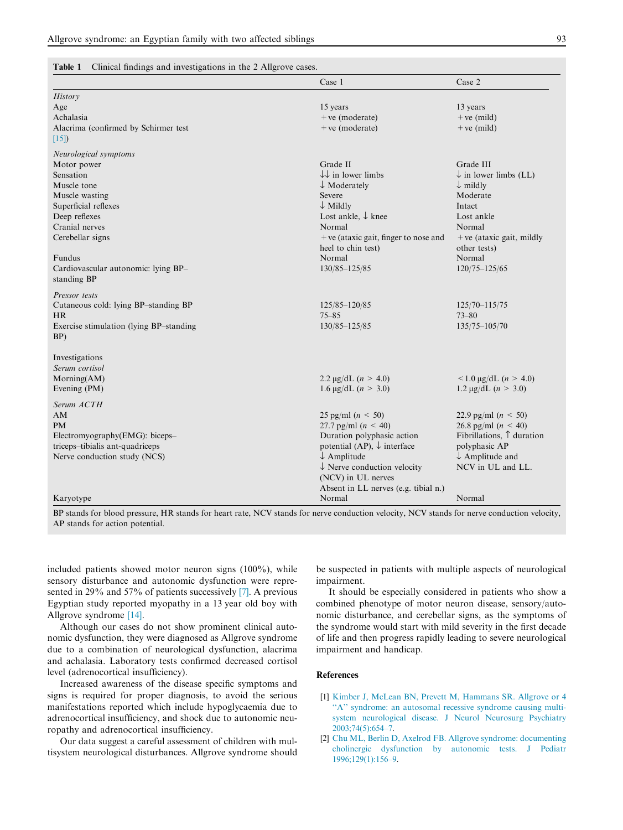# <span id="page-2-0"></span>Table 1 Clinical findings and investigations in the 2 Allgrove cases.

|                                          | Case 1                                 | Case 2                             |
|------------------------------------------|----------------------------------------|------------------------------------|
| History                                  |                                        |                                    |
| Age                                      | 15 years                               | 13 years                           |
| Achalasia                                | $+ve$ (moderate)                       | $+ve$ (mild)                       |
| Alacrima (confirmed by Schirmer test     | $+ve$ (moderate)                       | $+ve$ (mild)                       |
| $[15]$                                   |                                        |                                    |
| Neurological symptoms                    |                                        |                                    |
| Motor power                              | Grade II                               | Grade III                          |
| Sensation                                | $\downarrow\downarrow$ in lower limbs  | $\downarrow$ in lower limbs (LL)   |
| Muscle tone                              | $\downarrow$ Moderately                | $\downarrow$ mildly                |
| Muscle wasting                           | Severe                                 | Moderate                           |
| Superficial reflexes                     | $\downarrow$ Mildly                    | Intact                             |
| Deep reflexes                            | Lost ankle, ↓ knee                     | Lost ankle                         |
| Cranial nerves                           | Normal                                 | Normal                             |
| Cerebellar signs                         | $+ve$ (ataxic gait, finger to nose and | $+ve$ (ataxic gait, mildly         |
|                                          | heel to chin test)                     | other tests)                       |
| Fundus                                   | Normal                                 | Normal                             |
| Cardiovascular autonomic: lying BP-      | 130/85-125/85                          | $120/75 - 125/65$                  |
| standing BP                              |                                        |                                    |
| Pressor tests                            |                                        |                                    |
| Cutaneous cold: lying BP-standing BP     | 125/85-120/85                          | $125/70 - 115/75$                  |
| <b>HR</b>                                | $75 - 85$                              | $73 - 80$                          |
| Exercise stimulation (lying BP-standing) | 130/85-125/85                          | $135/75 - 105/70$                  |
| BP)                                      |                                        |                                    |
| Investigations                           |                                        |                                    |
| Serum cortisol                           |                                        |                                    |
| Morning(AM)                              | 2.2 $\mu$ g/dL (n > 4.0)               | $\leq 1.0 \text{ µg/dL}$ (n > 4.0) |
| Evening (PM)                             | 1.6 $\mu$ g/dL ( <i>n</i> > 3.0)       | $1.2 \mu g/dL$ ( <i>n</i> > 3.0)   |
|                                          |                                        |                                    |
| Serum ACTH                               |                                        |                                    |
| AM                                       | 25 pg/ml $(n < 50)$                    | 22.9 pg/ml $(n \leq 50)$           |
| <b>PM</b>                                | 27.7 pg/ml $(n < 40)$                  | 26.8 pg/ml $(n < 40)$              |
| Electromyography(EMG): biceps-           | Duration polyphasic action             | Fibrillations, $\uparrow$ duration |
| triceps-tibialis ant-quadriceps          | potential (AP), $\downarrow$ interface | polyphasic AP                      |
| Nerve conduction study (NCS)             | $\downarrow$ Amplitude                 | $\downarrow$ Amplitude and         |
|                                          | $\downarrow$ Nerve conduction velocity | NCV in UL and LL.                  |
|                                          | (NCV) in UL nerves                     |                                    |
|                                          | Absent in LL nerves (e.g. tibial n.)   |                                    |
| Karyotype                                | Normal                                 | Normal                             |

BP stands for blood pressure, HR stands for heart rate, NCV stands for nerve conduction velocity, NCV stands for nerve conduction velocity, AP stands for action potential.

included patients showed motor neuron signs (100%), while sensory disturbance and autonomic dysfunction were represented in 29% and 57% of patients successively [\[7\].](#page-3-0) A previous Egyptian study reported myopathy in a 13 year old boy with Allgrove syndrome [\[14\].](#page-3-0)

Although our cases do not show prominent clinical autonomic dysfunction, they were diagnosed as Allgrove syndrome due to a combination of neurological dysfunction, alacrima and achalasia. Laboratory tests confirmed decreased cortisol level (adrenocortical insufficiency).

Increased awareness of the disease specific symptoms and signs is required for proper diagnosis, to avoid the serious manifestations reported which include hypoglycaemia due to adrenocortical insufficiency, and shock due to autonomic neuropathy and adrenocortical insufficiency.

Our data suggest a careful assessment of children with multisystem neurological disturbances. Allgrove syndrome should be suspected in patients with multiple aspects of neurological impairment.

It should be especially considered in patients who show a combined phenotype of motor neuron disease, sensory/autonomic disturbance, and cerebellar signs, as the symptoms of the syndrome would start with mild severity in the first decade of life and then progress rapidly leading to severe neurological impairment and handicap.

## References

- [1] [Kimber J, McLean BN, Prevett M, Hammans SR. Allgrove or 4](http://refhub.elsevier.com/S1110-8630(13)00087-6/h0005) "A" syndrome: an autosomal recessive syndrome causing multi[system neurological disease. J Neurol Neurosurg Psychiatry](http://refhub.elsevier.com/S1110-8630(13)00087-6/h0005) [2003;74\(5\):654–7](http://refhub.elsevier.com/S1110-8630(13)00087-6/h0005).
- [2] [Chu ML, Berlin D, Axelrod FB. Allgrove syndrome: documenting](http://refhub.elsevier.com/S1110-8630(13)00087-6/h0010) [cholinergic dysfunction by autonomic tests. J Pediatr](http://refhub.elsevier.com/S1110-8630(13)00087-6/h0010) [1996;129\(1\):156–9](http://refhub.elsevier.com/S1110-8630(13)00087-6/h0010).